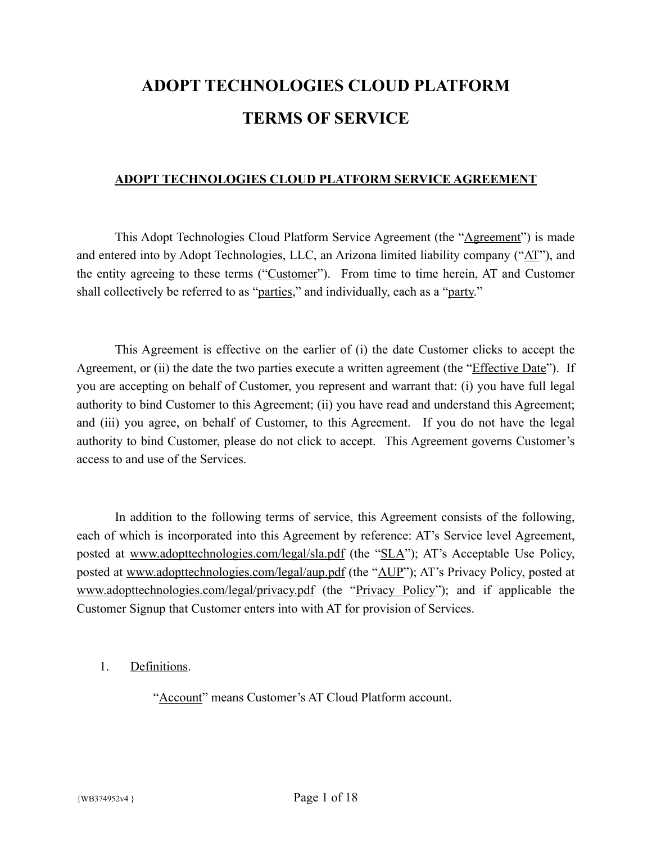# **ADOPT TECHNOLOGIES CLOUD PLATFORM TERMS OF SERVICE**

#### **ADOPT TECHNOLOGIES CLOUD PLATFORM SERVICE AGREEMENT**

This Adopt Technologies Cloud Platform Service Agreement (the "Agreement") is made and entered into by Adopt Technologies, LLC, an Arizona limited liability company ("AT"), and the entity agreeing to these terms ("Customer"). From time to time herein, AT and Customer shall collectively be referred to as "parties," and individually, each as a "party."

This Agreement is effective on the earlier of (i) the date Customer clicks to accept the Agreement, or (ii) the date the two parties execute a written agreement (the "*Effective Date*"). If you are accepting on behalf of Customer, you represent and warrant that: (i) you have full legal authority to bind Customer to this Agreement; (ii) you have read and understand this Agreement; and (iii) you agree, on behalf of Customer, to this Agreement. If you do not have the legal authority to bind Customer, please do not click to accept. This Agreement governs Customer's access to and use of the Services.

In addition to the following terms of service, this Agreement consists of the following, each of which is incorporated into this Agreement by reference: AT's Service level Agreement, posted at [www.adopttechnologies.com/legal/sla.pdf](http://www.adopttechnologies.com/legal/sla.pdf) (the "SLA"); AT's Acceptable Use Policy, posted at [www.adopttechnologies.com/legal/aup.pdf](http://www.adopttechnologies.com/legal/aup.pdf) (the "AUP"); AT's Privacy Policy, posted at [www.adopttechnologies.com/legal/privacy.pdf](http://www.adopttechnologies.com/legal/privacy.pdf) (the "Privacy Policy"); and if applicable the Customer Signup that Customer enters into with AT for provision of Services.

1. Definitions.

"Account" means Customer's AT Cloud Platform account.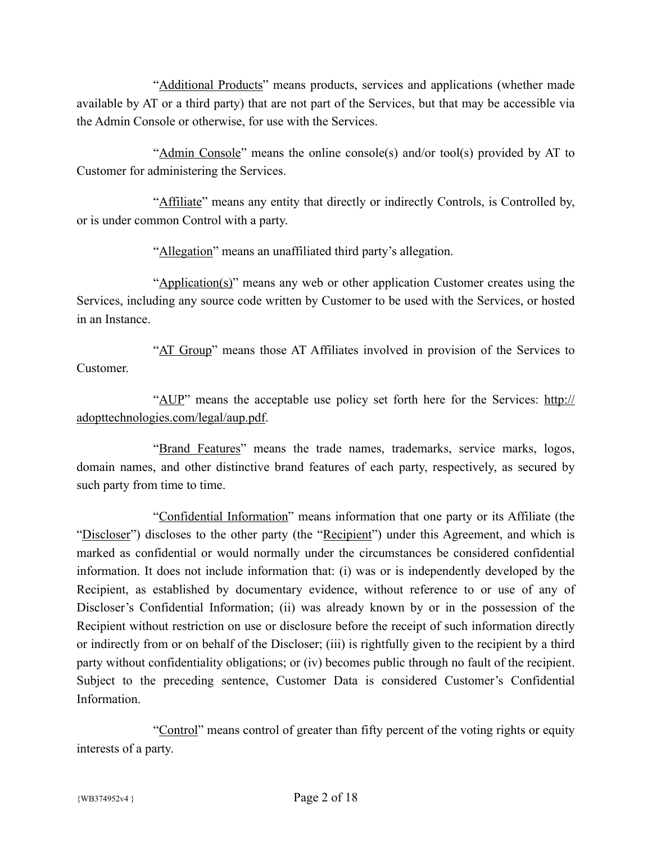"Additional Products" means products, services and applications (whether made available by AT or a third party) that are not part of the Services, but that may be accessible via the Admin Console or otherwise, for use with the Services.

"Admin Console" means the online console(s) and/or tool(s) provided by AT to Customer for administering the Services.

"Affiliate" means any entity that directly or indirectly Controls, is Controlled by, or is under common Control with a party.

"Allegation" means an unaffiliated third party's allegation.

"Application(s)" means any web or other application Customer creates using the Services, including any source code written by Customer to be used with the Services, or hosted in an Instance.

"AT Group" means those AT Affiliates involved in provision of the Services to Customer.

"AUP" means the acceptable use policy set forth here for the Services: [http://](http://adopttechnologies.com/legal/aup.pdf) [adopttechnologies.com/legal/aup.pdf](http://adopttechnologies.com/legal/aup.pdf).

"Brand Features" means the trade names, trademarks, service marks, logos, domain names, and other distinctive brand features of each party, respectively, as secured by such party from time to time.

"Confidential Information" means information that one party or its Affiliate (the "Discloser") discloses to the other party (the "Recipient") under this Agreement, and which is marked as confidential or would normally under the circumstances be considered confidential information. It does not include information that: (i) was or is independently developed by the Recipient, as established by documentary evidence, without reference to or use of any of Discloser's Confidential Information; (ii) was already known by or in the possession of the Recipient without restriction on use or disclosure before the receipt of such information directly or indirectly from or on behalf of the Discloser; (iii) is rightfully given to the recipient by a third party without confidentiality obligations; or (iv) becomes public through no fault of the recipient. Subject to the preceding sentence, Customer Data is considered Customer's Confidential **Information** 

"Control" means control of greater than fifty percent of the voting rights or equity interests of a party.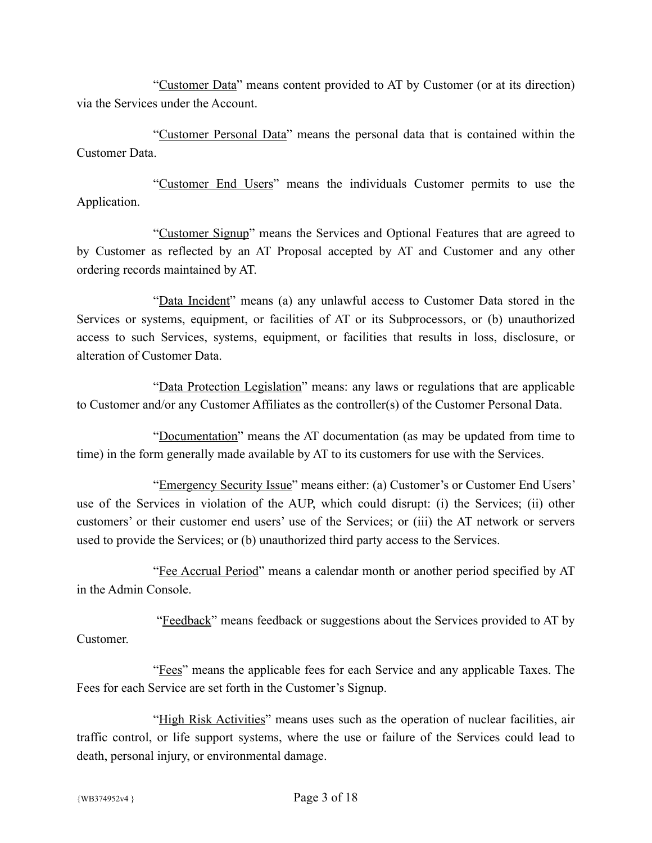"Customer Data" means content provided to AT by Customer (or at its direction) via the Services under the Account.

"Customer Personal Data" means the personal data that is contained within the Customer Data.

"Customer End Users" means the individuals Customer permits to use the Application.

"Customer Signup" means the Services and Optional Features that are agreed to by Customer as reflected by an AT Proposal accepted by AT and Customer and any other ordering records maintained by AT.

"Data Incident" means (a) any unlawful access to Customer Data stored in the Services or systems, equipment, or facilities of AT or its Subprocessors, or (b) unauthorized access to such Services, systems, equipment, or facilities that results in loss, disclosure, or alteration of Customer Data.

"Data Protection Legislation" means: any laws or regulations that are applicable to Customer and/or any Customer Affiliates as the controller(s) of the Customer Personal Data.

"Documentation" means the AT documentation (as may be updated from time to time) in the form generally made available by AT to its customers for use with the Services.

"Emergency Security Issue" means either: (a) Customer's or Customer End Users' use of the Services in violation of the AUP, which could disrupt: (i) the Services; (ii) other customers' or their customer end users' use of the Services; or (iii) the AT network or servers used to provide the Services; or (b) unauthorized third party access to the Services.

"Fee Accrual Period" means a calendar month or another period specified by AT in the Admin Console.

 "Feedback" means feedback or suggestions about the Services provided to AT by Customer.

"Fees" means the applicable fees for each Service and any applicable Taxes. The Fees for each Service are set forth in the Customer's Signup.

"High Risk Activities" means uses such as the operation of nuclear facilities, air traffic control, or life support systems, where the use or failure of the Services could lead to death, personal injury, or environmental damage.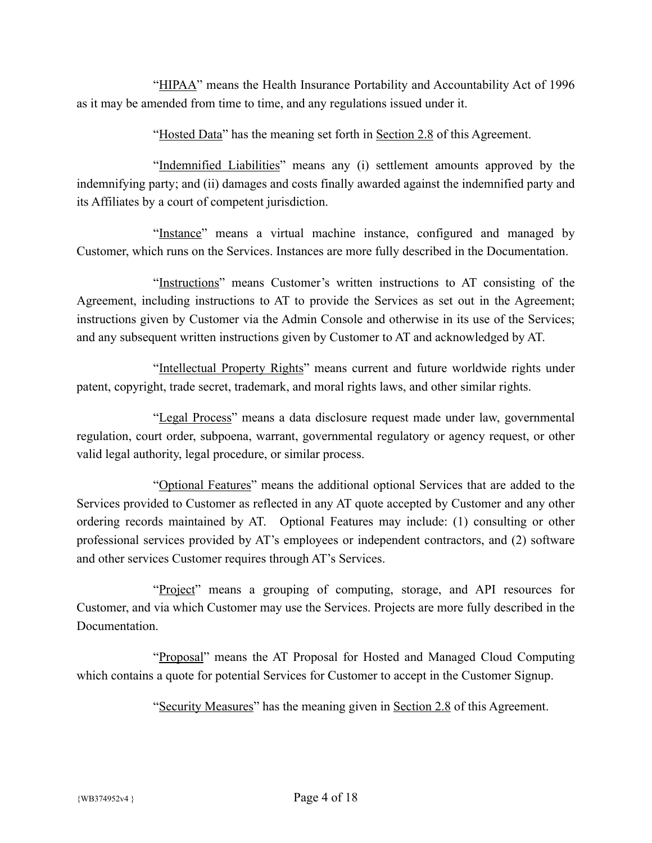"HIPAA" means the Health Insurance Portability and Accountability Act of 1996 as it may be amended from time to time, and any regulations issued under it.

"Hosted Data" has the meaning set forth in Section 2.8 of this Agreement.

"Indemnified Liabilities" means any (i) settlement amounts approved by the indemnifying party; and (ii) damages and costs finally awarded against the indemnified party and its Affiliates by a court of competent jurisdiction.

"Instance" means a virtual machine instance, configured and managed by Customer, which runs on the Services. Instances are more fully described in the Documentation.

"Instructions" means Customer's written instructions to AT consisting of the Agreement, including instructions to AT to provide the Services as set out in the Agreement; instructions given by Customer via the Admin Console and otherwise in its use of the Services; and any subsequent written instructions given by Customer to AT and acknowledged by AT.

"Intellectual Property Rights" means current and future worldwide rights under patent, copyright, trade secret, trademark, and moral rights laws, and other similar rights.

"Legal Process" means a data disclosure request made under law, governmental regulation, court order, subpoena, warrant, governmental regulatory or agency request, or other valid legal authority, legal procedure, or similar process.

"Optional Features" means the additional optional Services that are added to the Services provided to Customer as reflected in any AT quote accepted by Customer and any other ordering records maintained by AT. Optional Features may include: (1) consulting or other professional services provided by AT's employees or independent contractors, and (2) software and other services Customer requires through AT's Services.

"Project" means a grouping of computing, storage, and API resources for Customer, and via which Customer may use the Services. Projects are more fully described in the **Documentation** 

"Proposal" means the AT Proposal for Hosted and Managed Cloud Computing which contains a quote for potential Services for Customer to accept in the Customer Signup.

"Security Measures" has the meaning given in Section 2.8 of this Agreement.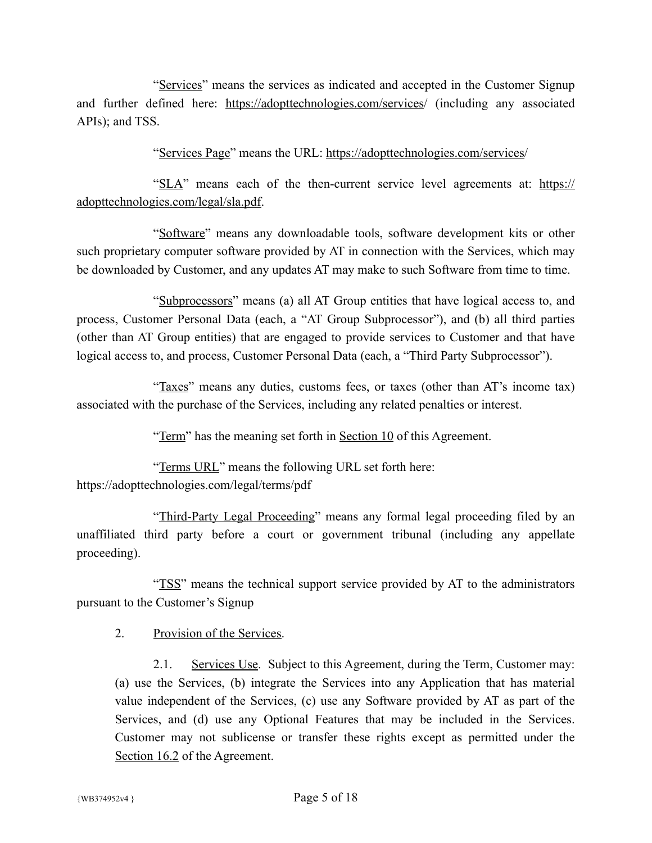"Services" means the services as indicated and accepted in the Customer Signup and further defined here: <https://adopttechnologies.com/services>/ (including any associated APIs); and TSS.

"Services Page" means the URL: [https://adopttechnologies.com/services/](https://adopttechnologies.com/services)

"SLA" means each of the then-current service level agreements at: [https://](https://adopttechnologies.com/legal/sla.pdf) [adopttechnologies.com/legal/sla.pdf](https://adopttechnologies.com/legal/sla.pdf).

"Software" means any downloadable tools, software development kits or other such proprietary computer software provided by AT in connection with the Services, which may be downloaded by Customer, and any updates AT may make to such Software from time to time.

"Subprocessors" means (a) all AT Group entities that have logical access to, and process, Customer Personal Data (each, a "AT Group Subprocessor"), and (b) all third parties (other than AT Group entities) that are engaged to provide services to Customer and that have logical access to, and process, Customer Personal Data (each, a "Third Party Subprocessor").

"Taxes" means any duties, customs fees, or taxes (other than AT's income tax) associated with the purchase of the Services, including any related penalties or interest.

"Term" has the meaning set forth in Section 10 of this Agreement.

"Terms URL" means the following URL set forth here: https://adopttechnologies.com/legal/terms/pdf

"Third-Party Legal Proceeding" means any formal legal proceeding filed by an unaffiliated third party before a court or government tribunal (including any appellate proceeding).

"TSS" means the technical support service provided by AT to the administrators pursuant to the Customer's Signup

2. Provision of the Services.

2.1. Services Use. Subject to this Agreement, during the Term, Customer may: (a) use the Services, (b) integrate the Services into any Application that has material value independent of the Services, (c) use any Software provided by AT as part of the Services, and (d) use any Optional Features that may be included in the Services. Customer may not sublicense or transfer these rights except as permitted under the Section 16.2 of the Agreement.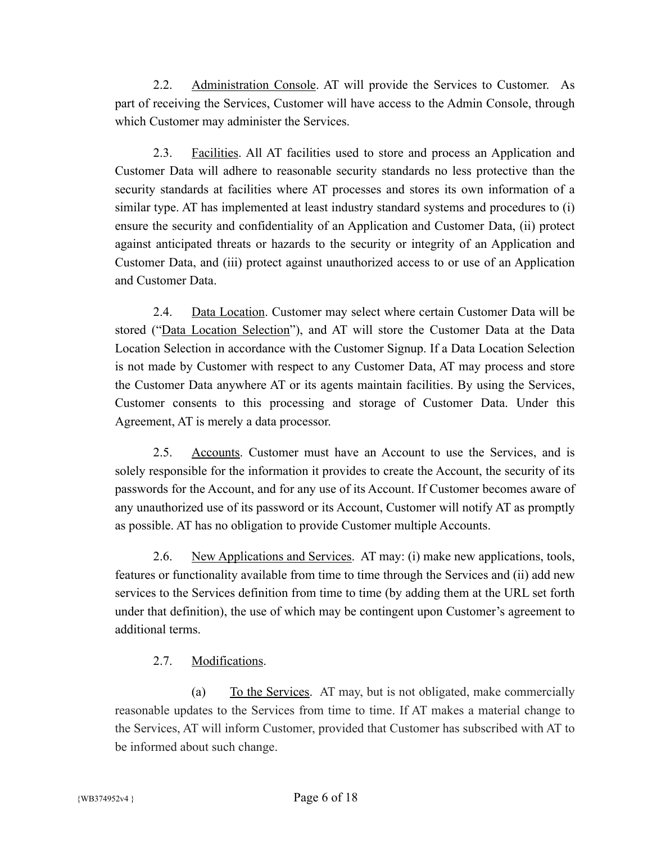2.2. Administration Console. AT will provide the Services to Customer. As part of receiving the Services, Customer will have access to the Admin Console, through which Customer may administer the Services.

2.3. Facilities. All AT facilities used to store and process an Application and Customer Data will adhere to reasonable security standards no less protective than the security standards at facilities where AT processes and stores its own information of a similar type. AT has implemented at least industry standard systems and procedures to (i) ensure the security and confidentiality of an Application and Customer Data, (ii) protect against anticipated threats or hazards to the security or integrity of an Application and Customer Data, and (iii) protect against unauthorized access to or use of an Application and Customer Data.

2.4. Data Location. Customer may select where certain Customer Data will be stored ("Data Location Selection"), and AT will store the Customer Data at the Data Location Selection in accordance with the Customer Signup. If a Data Location Selection is not made by Customer with respect to any Customer Data, AT may process and store the Customer Data anywhere AT or its agents maintain facilities. By using the Services, Customer consents to this processing and storage of Customer Data. Under this Agreement, AT is merely a data processor.

2.5. Accounts. Customer must have an Account to use the Services, and is solely responsible for the information it provides to create the Account, the security of its passwords for the Account, and for any use of its Account. If Customer becomes aware of any unauthorized use of its password or its Account, Customer will notify AT as promptly as possible. AT has no obligation to provide Customer multiple Accounts.

2.6. New Applications and Services. AT may: (i) make new applications, tools, features or functionality available from time to time through the Services and (ii) add new services to the Services definition from time to time (by adding them at the URL set forth under that definition), the use of which may be contingent upon Customer's agreement to additional terms.

## 2.7. Modifications.

(a) To the Services. AT may, but is not obligated, make commercially reasonable updates to the Services from time to time. If AT makes a material change to the Services, AT will inform Customer, provided that Customer has subscribed with AT to be informed about such change.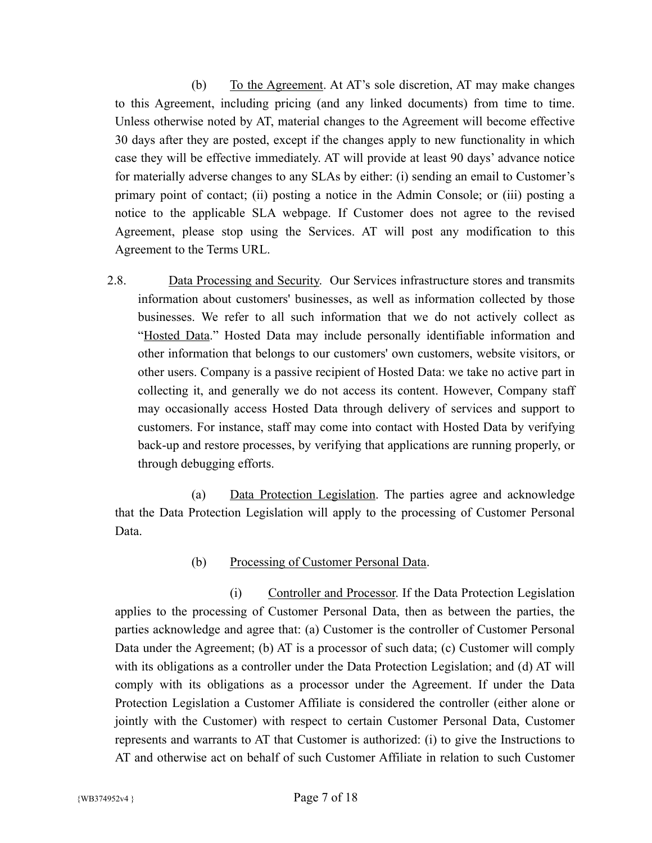(b) To the Agreement. At AT's sole discretion, AT may make changes to this Agreement, including pricing (and any linked documents) from time to time. Unless otherwise noted by AT, material changes to the Agreement will become effective 30 days after they are posted, except if the changes apply to new functionality in which case they will be effective immediately. AT will provide at least 90 days' advance notice for materially adverse changes to any SLAs by either: (i) sending an email to Customer's primary point of contact; (ii) posting a notice in the Admin Console; or (iii) posting a notice to the applicable SLA webpage. If Customer does not agree to the revised Agreement, please stop using the Services. AT will post any modification to this Agreement to the Terms URL.

2.8. Data Processing and Security. Our Services infrastructure stores and transmits information about customers' businesses, as well as information collected by those businesses. We refer to all such information that we do not actively collect as "Hosted Data." Hosted Data may include personally identifiable information and other information that belongs to our customers' own customers, website visitors, or other users. Company is a passive recipient of Hosted Data: we take no active part in collecting it, and generally we do not access its content. However, Company staff may occasionally access Hosted Data through delivery of services and support to customers. For instance, staff may come into contact with Hosted Data by verifying back-up and restore processes, by verifying that applications are running properly, or through debugging efforts.

(a) Data Protection Legislation. The parties agree and acknowledge that the Data Protection Legislation will apply to the processing of Customer Personal Data.

## (b) Processing of Customer Personal Data.

(i) Controller and Processor. If the Data Protection Legislation applies to the processing of Customer Personal Data, then as between the parties, the parties acknowledge and agree that: (a) Customer is the controller of Customer Personal Data under the Agreement; (b) AT is a processor of such data; (c) Customer will comply with its obligations as a controller under the Data Protection Legislation; and (d) AT will comply with its obligations as a processor under the Agreement. If under the Data Protection Legislation a Customer Affiliate is considered the controller (either alone or jointly with the Customer) with respect to certain Customer Personal Data, Customer represents and warrants to AT that Customer is authorized: (i) to give the Instructions to AT and otherwise act on behalf of such Customer Affiliate in relation to such Customer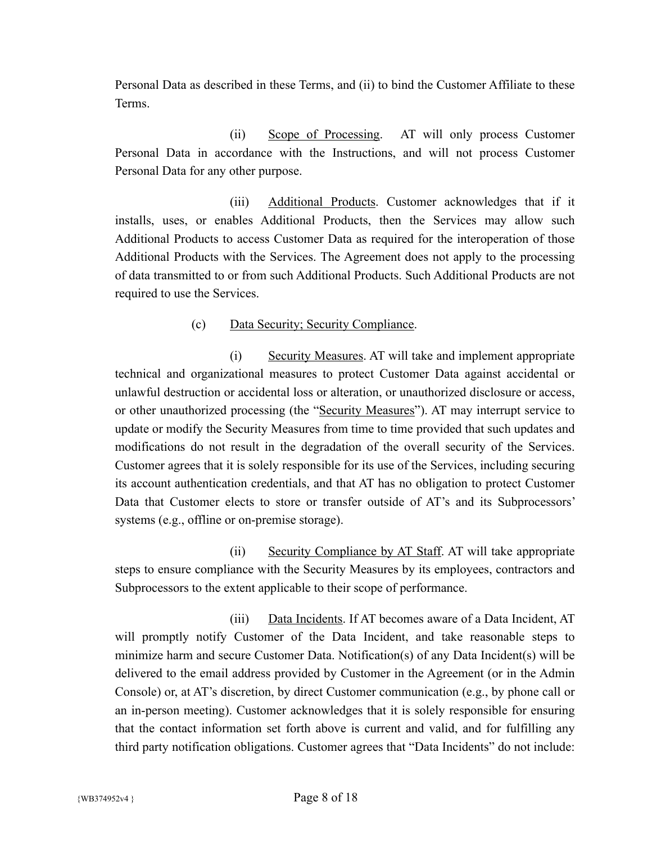Personal Data as described in these Terms, and (ii) to bind the Customer Affiliate to these Terms.

(ii) Scope of Processing. AT will only process Customer Personal Data in accordance with the Instructions, and will not process Customer Personal Data for any other purpose.

(iii) Additional Products. Customer acknowledges that if it installs, uses, or enables Additional Products, then the Services may allow such Additional Products to access Customer Data as required for the interoperation of those Additional Products with the Services. The Agreement does not apply to the processing of data transmitted to or from such Additional Products. Such Additional Products are not required to use the Services.

## (c) Data Security; Security Compliance.

(i) Security Measures. AT will take and implement appropriate technical and organizational measures to protect Customer Data against accidental or unlawful destruction or accidental loss or alteration, or unauthorized disclosure or access, or other unauthorized processing (the "Security Measures"). AT may interrupt service to update or modify the Security Measures from time to time provided that such updates and modifications do not result in the degradation of the overall security of the Services. Customer agrees that it is solely responsible for its use of the Services, including securing its account authentication credentials, and that AT has no obligation to protect Customer Data that Customer elects to store or transfer outside of AT's and its Subprocessors' systems (e.g., offline or on-premise storage).

(ii) Security Compliance by AT Staff. AT will take appropriate steps to ensure compliance with the Security Measures by its employees, contractors and Subprocessors to the extent applicable to their scope of performance.

(iii) Data Incidents. If AT becomes aware of a Data Incident, AT will promptly notify Customer of the Data Incident, and take reasonable steps to minimize harm and secure Customer Data. Notification(s) of any Data Incident(s) will be delivered to the email address provided by Customer in the Agreement (or in the Admin Console) or, at AT's discretion, by direct Customer communication (e.g., by phone call or an in-person meeting). Customer acknowledges that it is solely responsible for ensuring that the contact information set forth above is current and valid, and for fulfilling any third party notification obligations. Customer agrees that "Data Incidents" do not include: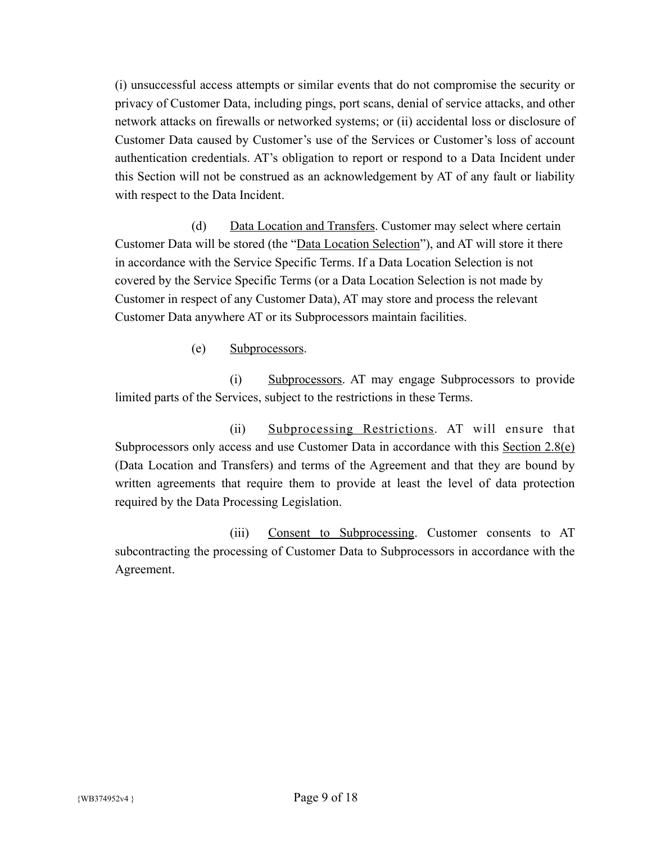(i) unsuccessful access attempts or similar events that do not compromise the security or privacy of Customer Data, including pings, port scans, denial of service attacks, and other network attacks on firewalls or networked systems; or (ii) accidental loss or disclosure of Customer Data caused by Customer's use of the Services or Customer's loss of account authentication credentials. AT's obligation to report or respond to a Data Incident under this Section will not be construed as an acknowledgement by AT of any fault or liability with respect to the Data Incident.

(d) Data Location and Transfers. Customer may select where certain Customer Data will be stored (the "Data Location Selection"), and AT will store it there in accordance with the Service Specific Terms. If a Data Location Selection is not covered by the Service Specific Terms (or a Data Location Selection is not made by Customer in respect of any Customer Data), AT may store and process the relevant Customer Data anywhere AT or its Subprocessors maintain facilities.

(e) Subprocessors.

(i) Subprocessors. AT may engage Subprocessors to provide limited parts of the Services, subject to the restrictions in these Terms.

(ii) Subprocessing Restrictions. AT will ensure that Subprocessors only access and use Customer Data in accordance with this Section 2.8(e) (Data Location and Transfers) and terms of the Agreement and that they are bound by written agreements that require them to provide at least the level of data protection required by the Data Processing Legislation.

(iii) Consent to Subprocessing. Customer consents to AT subcontracting the processing of Customer Data to Subprocessors in accordance with the Agreement.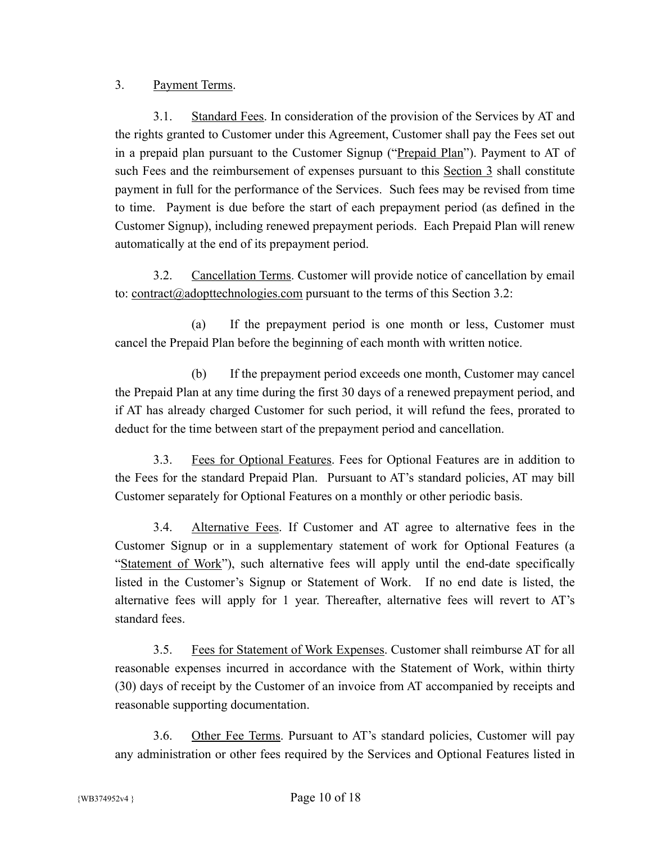## 3. Payment Terms.

3.1. Standard Fees. In consideration of the provision of the Services by AT and the rights granted to Customer under this Agreement, Customer shall pay the Fees set out in a prepaid plan pursuant to the Customer Signup ("Prepaid Plan"). Payment to AT of such Fees and the reimbursement of expenses pursuant to this Section 3 shall constitute payment in full for the performance of the Services. Such fees may be revised from time to time. Payment is due before the start of each prepayment period (as defined in the Customer Signup), including renewed prepayment periods. Each Prepaid Plan will renew automatically at the end of its prepayment period.

3.2. Cancellation Terms. Customer will provide notice of cancellation by email to: [contract@adopttechnologies.com](mailto:contract@adopttechnologies.com) pursuant to the terms of this Section 3.2:

(a) If the prepayment period is one month or less, Customer must cancel the Prepaid Plan before the beginning of each month with written notice.

(b) If the prepayment period exceeds one month, Customer may cancel the Prepaid Plan at any time during the first 30 days of a renewed prepayment period, and if AT has already charged Customer for such period, it will refund the fees, prorated to deduct for the time between start of the prepayment period and cancellation.

3.3. Fees for Optional Features. Fees for Optional Features are in addition to the Fees for the standard Prepaid Plan. Pursuant to AT's standard policies, AT may bill Customer separately for Optional Features on a monthly or other periodic basis.

3.4. Alternative Fees. If Customer and AT agree to alternative fees in the Customer Signup or in a supplementary statement of work for Optional Features (a "Statement of Work"), such alternative fees will apply until the end-date specifically listed in the Customer's Signup or Statement of Work. If no end date is listed, the alternative fees will apply for 1 year. Thereafter, alternative fees will revert to AT's standard fees.

3.5. Fees for Statement of Work Expenses. Customer shall reimburse AT for all reasonable expenses incurred in accordance with the Statement of Work, within thirty (30) days of receipt by the Customer of an invoice from AT accompanied by receipts and reasonable supporting documentation.

3.6. Other Fee Terms. Pursuant to AT's standard policies, Customer will pay any administration or other fees required by the Services and Optional Features listed in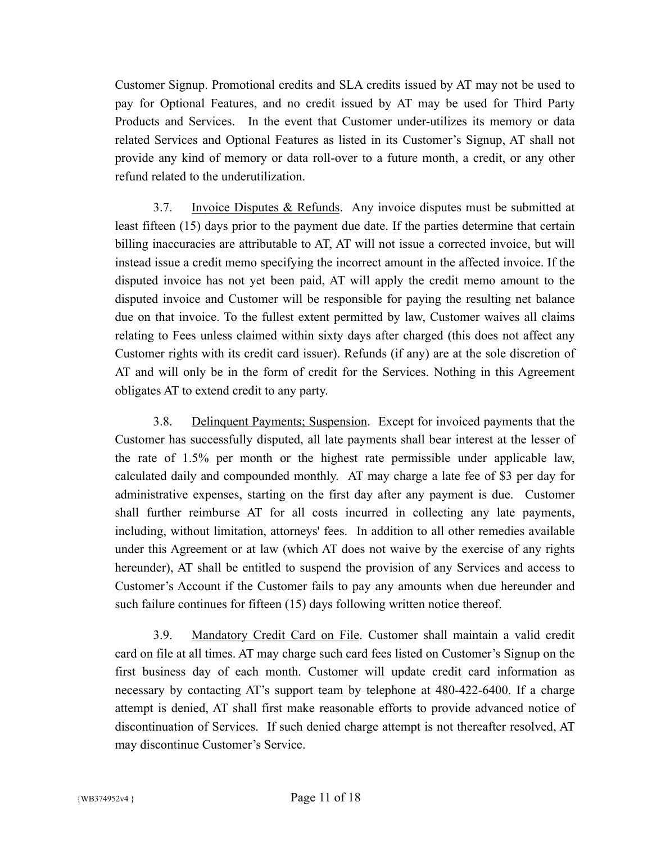Customer Signup. Promotional credits and SLA credits issued by AT may not be used to pay for Optional Features, and no credit issued by AT may be used for Third Party Products and Services. In the event that Customer under-utilizes its memory or data related Services and Optional Features as listed in its Customer's Signup, AT shall not provide any kind of memory or data roll-over to a future month, a credit, or any other refund related to the underutilization.

3.7. Invoice Disputes & Refunds. Any invoice disputes must be submitted at least fifteen (15) days prior to the payment due date. If the parties determine that certain billing inaccuracies are attributable to AT, AT will not issue a corrected invoice, but will instead issue a credit memo specifying the incorrect amount in the affected invoice. If the disputed invoice has not yet been paid, AT will apply the credit memo amount to the disputed invoice and Customer will be responsible for paying the resulting net balance due on that invoice. To the fullest extent permitted by law, Customer waives all claims relating to Fees unless claimed within sixty days after charged (this does not affect any Customer rights with its credit card issuer). Refunds (if any) are at the sole discretion of AT and will only be in the form of credit for the Services. Nothing in this Agreement obligates AT to extend credit to any party.

3.8. Delinquent Payments; Suspension. Except for invoiced payments that the Customer has successfully disputed, all late payments shall bear interest at the lesser of the rate of 1.5% per month or the highest rate permissible under applicable law, calculated daily and compounded monthly. AT may charge a late fee of \$3 per day for administrative expenses, starting on the first day after any payment is due. Customer shall further reimburse AT for all costs incurred in collecting any late payments, including, without limitation, attorneys' fees. In addition to all other remedies available under this Agreement or at law (which AT does not waive by the exercise of any rights hereunder), AT shall be entitled to suspend the provision of any Services and access to Customer's Account if the Customer fails to pay any amounts when due hereunder and such failure continues for fifteen (15) days following written notice thereof.

3.9. Mandatory Credit Card on File. Customer shall maintain a valid credit card on file at all times. AT may charge such card fees listed on Customer's Signup on the first business day of each month. Customer will update credit card information as necessary by contacting AT's support team by telephone at 480-422-6400. If a charge attempt is denied, AT shall first make reasonable efforts to provide advanced notice of discontinuation of Services. If such denied charge attempt is not thereafter resolved, AT may discontinue Customer's Service.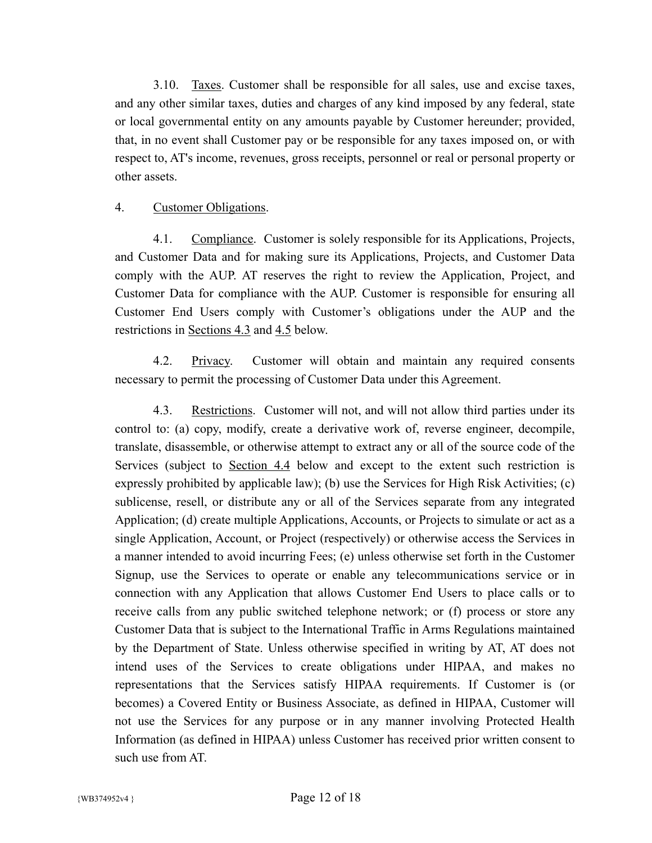3.10. Taxes. Customer shall be responsible for all sales, use and excise taxes, and any other similar taxes, duties and charges of any kind imposed by any federal, state or local governmental entity on any amounts payable by Customer hereunder; provided, that, in no event shall Customer pay or be responsible for any taxes imposed on, or with respect to, AT's income, revenues, gross receipts, personnel or real or personal property or other assets.

#### 4. Customer Obligations.

4.1. Compliance. Customer is solely responsible for its Applications, Projects, and Customer Data and for making sure its Applications, Projects, and Customer Data comply with the AUP. AT reserves the right to review the Application, Project, and Customer Data for compliance with the AUP. Customer is responsible for ensuring all Customer End Users comply with Customer's obligations under the AUP and the restrictions in Sections 4.3 and 4.5 below.

4.2. Privacy. Customer will obtain and maintain any required consents necessary to permit the processing of Customer Data under this Agreement.

4.3. Restrictions. Customer will not, and will not allow third parties under its control to: (a) copy, modify, create a derivative work of, reverse engineer, decompile, translate, disassemble, or otherwise attempt to extract any or all of the source code of the Services (subject to <u>Section 4.4</u> below and except to the extent such restriction is expressly prohibited by applicable law); (b) use the Services for High Risk Activities; (c) sublicense, resell, or distribute any or all of the Services separate from any integrated Application; (d) create multiple Applications, Accounts, or Projects to simulate or act as a single Application, Account, or Project (respectively) or otherwise access the Services in a manner intended to avoid incurring Fees; (e) unless otherwise set forth in the Customer Signup, use the Services to operate or enable any telecommunications service or in connection with any Application that allows Customer End Users to place calls or to receive calls from any public switched telephone network; or (f) process or store any Customer Data that is subject to the International Traffic in Arms Regulations maintained by the Department of State. Unless otherwise specified in writing by AT, AT does not intend uses of the Services to create obligations under HIPAA, and makes no representations that the Services satisfy HIPAA requirements. If Customer is (or becomes) a Covered Entity or Business Associate, as defined in HIPAA, Customer will not use the Services for any purpose or in any manner involving Protected Health Information (as defined in HIPAA) unless Customer has received prior written consent to such use from AT.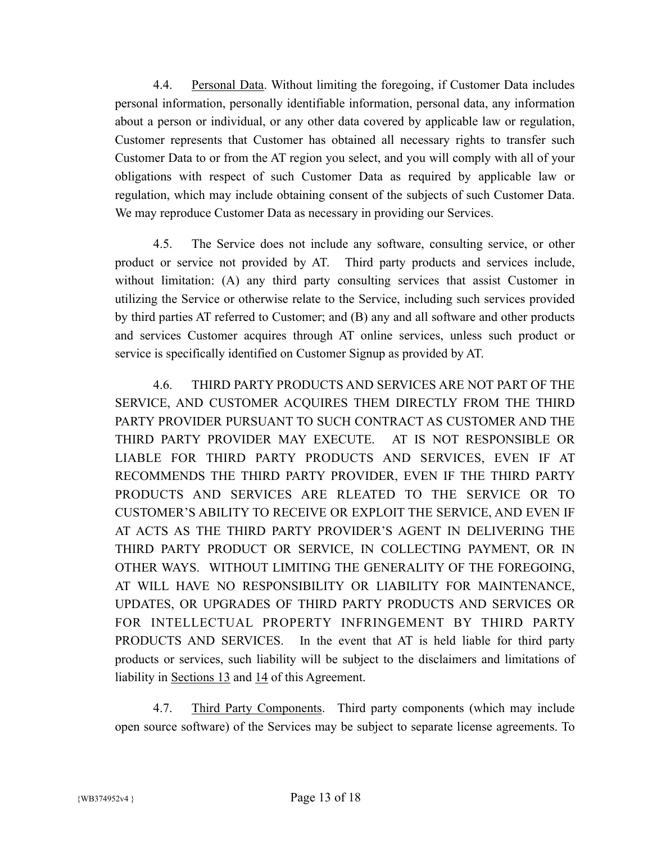4.4. Personal Data. Without limiting the foregoing, if Customer Data includes personal information, personally identifiable information, personal data, any information about a person or individual, or any other data covered by applicable law or regulation, Customer represents that Customer has obtained all necessary rights to transfer such Customer Data to or from the AT region you select, and you will comply with all of your obligations with respect of such Customer Data as required by applicable law or regulation, which may include obtaining consent of the subjects of such Customer Data. We may reproduce Customer Data as necessary in providing our Services.

4.5. The Service does not include any software, consulting service, or other product or service not provided by AT. Third party products and services include, without limitation: (A) any third party consulting services that assist Customer in utilizing the Service or otherwise relate to the Service, including such services provided by third parties AT referred to Customer; and (B) any and all software and other products and services Customer acquires through AT online services, unless such product or service is specifically identified on Customer Signup as provided by AT.

4.6. THIRD PARTY PRODUCTS AND SERVICES ARE NOT PART OF THE SERVICE, AND CUSTOMER ACQUIRES THEM DIRECTLY FROM THE THIRD PARTY PROVIDER PURSUANT TO SUCH CONTRACT AS CUSTOMER AND THE THIRD PARTY PROVIDER MAY EXECUTE. AT IS NOT RESPONSIBLE OR LIABLE FOR THIRD PARTY PRODUCTS AND SERVICES, EVEN IF AT RECOMMENDS THE THIRD PARTY PROVIDER, EVEN IF THE THIRD PARTY PRODUCTS AND SERVICES ARE RLEATED TO THE SERVICE OR TO CUSTOMER'S ABILITY TO RECEIVE OR EXPLOIT THE SERVICE, AND EVEN IF AT ACTS AS THE THIRD PARTY PROVIDER'S AGENT IN DELIVERING THE THIRD PARTY PRODUCT OR SERVICE, IN COLLECTING PAYMENT, OR IN OTHER WAYS. WITHOUT LIMITING THE GENERALITY OF THE FOREGOING, AT WILL HAVE NO RESPONSIBILITY OR LIABILITY FOR MAINTENANCE, UPDATES, OR UPGRADES OF THIRD PARTY PRODUCTS AND SERVICES OR FOR INTELLECTUAL PROPERTY INFRINGEMENT BY THIRD PARTY PRODUCTS AND SERVICES. In the event that AT is held liable for third party products or services, such liability will be subject to the disclaimers and limitations of liability in Sections 13 and 14 of this Agreement.

4.7. Third Party Components. Third party components (which may include open source software) of the Services may be subject to separate license agreements. To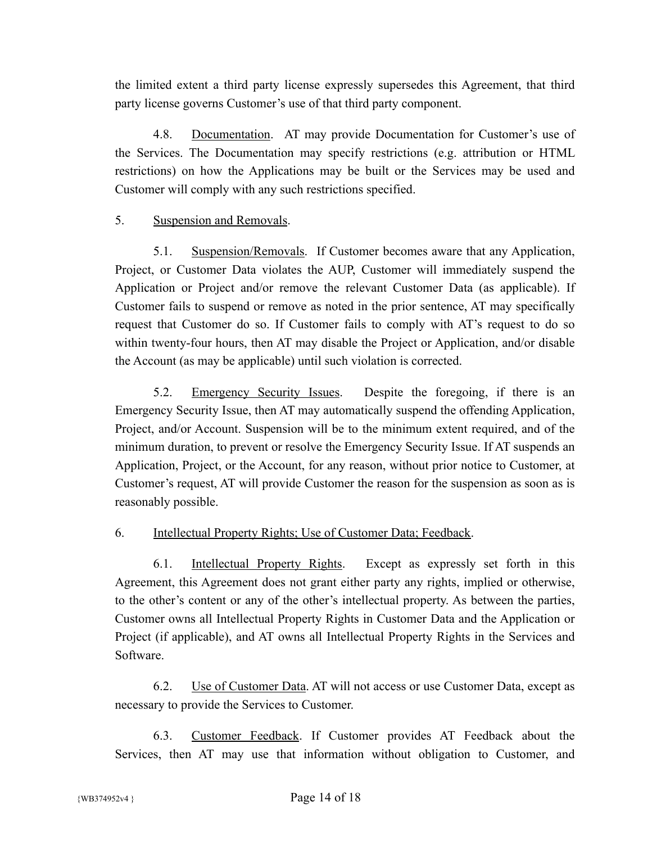the limited extent a third party license expressly supersedes this Agreement, that third party license governs Customer's use of that third party component.

4.8. Documentation. AT may provide Documentation for Customer's use of the Services. The Documentation may specify restrictions (e.g. attribution or HTML restrictions) on how the Applications may be built or the Services may be used and Customer will comply with any such restrictions specified.

## 5. Suspension and Removals.

5.1. Suspension/Removals. If Customer becomes aware that any Application, Project, or Customer Data violates the AUP, Customer will immediately suspend the Application or Project and/or remove the relevant Customer Data (as applicable). If Customer fails to suspend or remove as noted in the prior sentence, AT may specifically request that Customer do so. If Customer fails to comply with AT's request to do so within twenty-four hours, then AT may disable the Project or Application, and/or disable the Account (as may be applicable) until such violation is corrected.

5.2. Emergency Security Issues. Despite the foregoing, if there is an Emergency Security Issue, then AT may automatically suspend the offending Application, Project, and/or Account. Suspension will be to the minimum extent required, and of the minimum duration, to prevent or resolve the Emergency Security Issue. If AT suspends an Application, Project, or the Account, for any reason, without prior notice to Customer, at Customer's request, AT will provide Customer the reason for the suspension as soon as is reasonably possible.

## 6. Intellectual Property Rights; Use of Customer Data; Feedback.

6.1. Intellectual Property Rights. Except as expressly set forth in this Agreement, this Agreement does not grant either party any rights, implied or otherwise, to the other's content or any of the other's intellectual property. As between the parties, Customer owns all Intellectual Property Rights in Customer Data and the Application or Project (if applicable), and AT owns all Intellectual Property Rights in the Services and Software.

6.2. Use of Customer Data. AT will not access or use Customer Data, except as necessary to provide the Services to Customer.

6.3. Customer Feedback. If Customer provides AT Feedback about the Services, then AT may use that information without obligation to Customer, and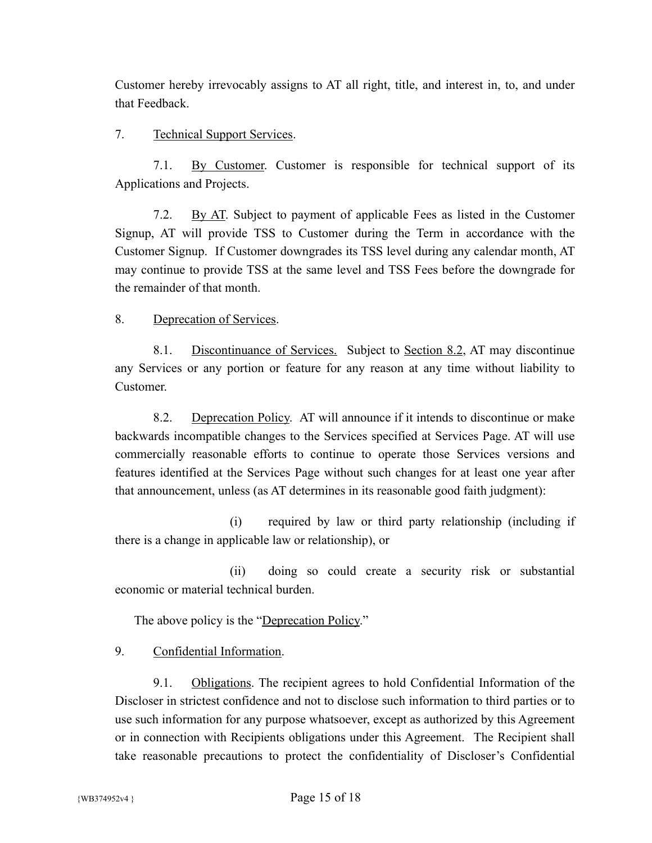Customer hereby irrevocably assigns to AT all right, title, and interest in, to, and under that Feedback.

### 7. Technical Support Services.

7.1. By Customer. Customer is responsible for technical support of its Applications and Projects.

7.2. By AT. Subject to payment of applicable Fees as listed in the Customer Signup, AT will provide TSS to Customer during the Term in accordance with the Customer Signup. If Customer downgrades its TSS level during any calendar month, AT may continue to provide TSS at the same level and TSS Fees before the downgrade for the remainder of that month.

#### 8. Deprecation of Services.

8.1. Discontinuance of Services. Subject to Section 8.2, AT may discontinue any Services or any portion or feature for any reason at any time without liability to Customer.

8.2. Deprecation Policy. AT will announce if it intends to discontinue or make backwards incompatible changes to the Services specified at Services Page. AT will use commercially reasonable efforts to continue to operate those Services versions and features identified at the Services Page without such changes for at least one year after that announcement, unless (as AT determines in its reasonable good faith judgment):

(i) required by law or third party relationship (including if there is a change in applicable law or relationship), or

(ii) doing so could create a security risk or substantial economic or material technical burden.

The above policy is the "Deprecation Policy."

9. Confidential Information.

9.1. Obligations. The recipient agrees to hold Confidential Information of the Discloser in strictest confidence and not to disclose such information to third parties or to use such information for any purpose whatsoever, except as authorized by this Agreement or in connection with Recipients obligations under this Agreement. The Recipient shall take reasonable precautions to protect the confidentiality of Discloser's Confidential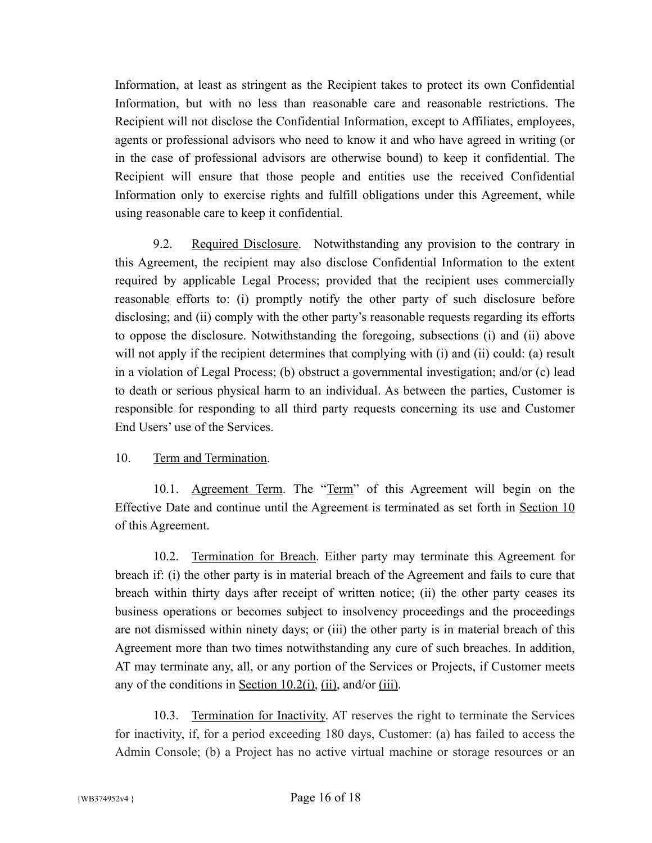Information, at least as stringent as the Recipient takes to protect its own Confidential Information, but with no less than reasonable care and reasonable restrictions. The Recipient will not disclose the Confidential Information, except to Affiliates, employees, agents or professional advisors who need to know it and who have agreed in writing (or in the case of professional advisors are otherwise bound) to keep it confidential. The Recipient will ensure that those people and entities use the received Confidential Information only to exercise rights and fulfill obligations under this Agreement, while using reasonable care to keep it confidential.

9.2. Required Disclosure. Notwithstanding any provision to the contrary in this Agreement, the recipient may also disclose Confidential Information to the extent required by applicable Legal Process; provided that the recipient uses commercially reasonable efforts to: (i) promptly notify the other party of such disclosure before disclosing; and (ii) comply with the other party's reasonable requests regarding its efforts to oppose the disclosure. Notwithstanding the foregoing, subsections (i) and (ii) above will not apply if the recipient determines that complying with (i) and (ii) could: (a) result in a violation of Legal Process; (b) obstruct a governmental investigation; and/or (c) lead to death or serious physical harm to an individual. As between the parties, Customer is responsible for responding to all third party requests concerning its use and Customer End Users' use of the Services.

## 10. Term and Termination.

10.1. Agreement Term. The "Term" of this Agreement will begin on the Effective Date and continue until the Agreement is terminated as set forth in Section 10 of this Agreement.

10.2. Termination for Breach. Either party may terminate this Agreement for breach if: (i) the other party is in material breach of the Agreement and fails to cure that breach within thirty days after receipt of written notice; (ii) the other party ceases its business operations or becomes subject to insolvency proceedings and the proceedings are not dismissed within ninety days; or (iii) the other party is in material breach of this Agreement more than two times notwithstanding any cure of such breaches. In addition, AT may terminate any, all, or any portion of the Services or Projects, if Customer meets any of the conditions in <u>Section 10.2(i)</u>, (ii), and/or (iii).

10.3. Termination for Inactivity. AT reserves the right to terminate the Services for inactivity, if, for a period exceeding 180 days, Customer: (a) has failed to access the Admin Console; (b) a Project has no active virtual machine or storage resources or an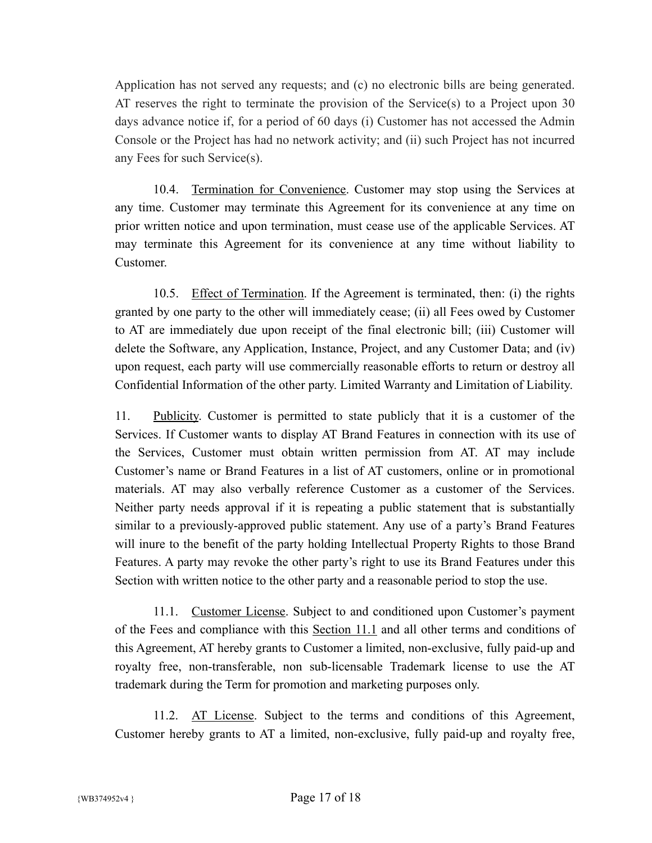Application has not served any requests; and (c) no electronic bills are being generated. AT reserves the right to terminate the provision of the Service(s) to a Project upon 30 days advance notice if, for a period of 60 days (i) Customer has not accessed the Admin Console or the Project has had no network activity; and (ii) such Project has not incurred any Fees for such Service(s).

10.4. Termination for Convenience. Customer may stop using the Services at any time. Customer may terminate this Agreement for its convenience at any time on prior written notice and upon termination, must cease use of the applicable Services. AT may terminate this Agreement for its convenience at any time without liability to Customer.

10.5. Effect of Termination. If the Agreement is terminated, then: (i) the rights granted by one party to the other will immediately cease; (ii) all Fees owed by Customer to AT are immediately due upon receipt of the final electronic bill; (iii) Customer will delete the Software, any Application, Instance, Project, and any Customer Data; and (iv) upon request, each party will use commercially reasonable efforts to return or destroy all Confidential Information of the other party. Limited Warranty and Limitation of Liability.

11. Publicity. Customer is permitted to state publicly that it is a customer of the Services. If Customer wants to display AT Brand Features in connection with its use of the Services, Customer must obtain written permission from AT. AT may include Customer's name or Brand Features in a list of AT customers, online or in promotional materials. AT may also verbally reference Customer as a customer of the Services. Neither party needs approval if it is repeating a public statement that is substantially similar to a previously-approved public statement. Any use of a party's Brand Features will inure to the benefit of the party holding Intellectual Property Rights to those Brand Features. A party may revoke the other party's right to use its Brand Features under this Section with written notice to the other party and a reasonable period to stop the use.

11.1. Customer License. Subject to and conditioned upon Customer's payment of the Fees and compliance with this Section 11.1 and all other terms and conditions of this Agreement, AT hereby grants to Customer a limited, non-exclusive, fully paid-up and royalty free, non-transferable, non sub-licensable Trademark license to use the AT trademark during the Term for promotion and marketing purposes only.

11.2. AT License. Subject to the terms and conditions of this Agreement, Customer hereby grants to AT a limited, non-exclusive, fully paid-up and royalty free,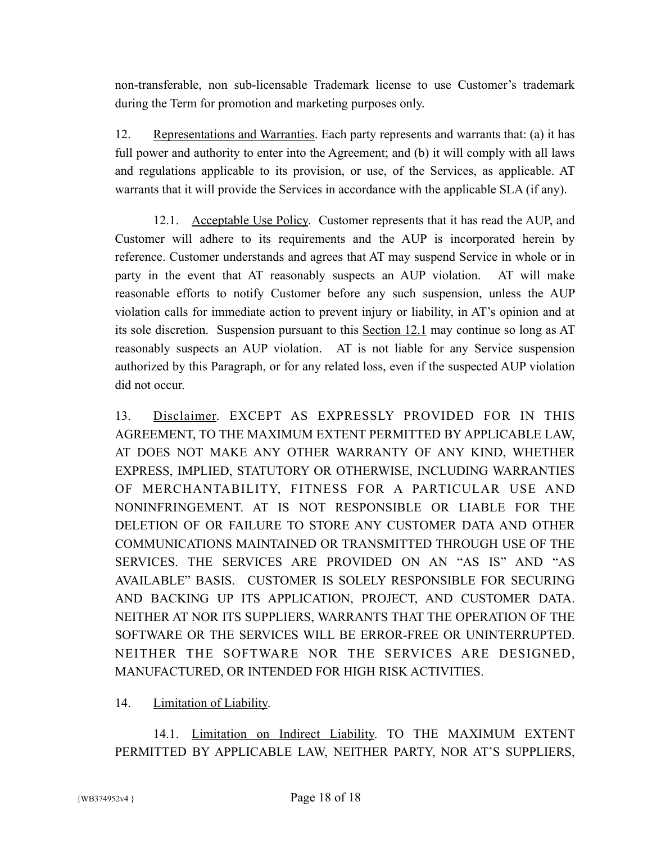non-transferable, non sub-licensable Trademark license to use Customer's trademark during the Term for promotion and marketing purposes only.

12. Representations and Warranties. Each party represents and warrants that: (a) it has full power and authority to enter into the Agreement; and (b) it will comply with all laws and regulations applicable to its provision, or use, of the Services, as applicable. AT warrants that it will provide the Services in accordance with the applicable SLA (if any).

12.1. Acceptable Use Policy. Customer represents that it has read the AUP, and Customer will adhere to its requirements and the AUP is incorporated herein by reference. Customer understands and agrees that AT may suspend Service in whole or in party in the event that AT reasonably suspects an AUP violation. AT will make reasonable efforts to notify Customer before any such suspension, unless the AUP violation calls for immediate action to prevent injury or liability, in AT's opinion and at its sole discretion. Suspension pursuant to this Section 12.1 may continue so long as AT reasonably suspects an AUP violation. AT is not liable for any Service suspension authorized by this Paragraph, or for any related loss, even if the suspected AUP violation did not occur.

13. Disclaimer. EXCEPT AS EXPRESSLY PROVIDED FOR IN THIS AGREEMENT, TO THE MAXIMUM EXTENT PERMITTED BY APPLICABLE LAW, AT DOES NOT MAKE ANY OTHER WARRANTY OF ANY KIND, WHETHER EXPRESS, IMPLIED, STATUTORY OR OTHERWISE, INCLUDING WARRANTIES OF MERCHANTABILITY, FITNESS FOR A PARTICULAR USE AND NONINFRINGEMENT. AT IS NOT RESPONSIBLE OR LIABLE FOR THE DELETION OF OR FAILURE TO STORE ANY CUSTOMER DATA AND OTHER COMMUNICATIONS MAINTAINED OR TRANSMITTED THROUGH USE OF THE SERVICES. THE SERVICES ARE PROVIDED ON AN "AS IS" AND "AS AVAILABLE" BASIS. CUSTOMER IS SOLELY RESPONSIBLE FOR SECURING AND BACKING UP ITS APPLICATION, PROJECT, AND CUSTOMER DATA. NEITHER AT NOR ITS SUPPLIERS, WARRANTS THAT THE OPERATION OF THE SOFTWARE OR THE SERVICES WILL BE ERROR-FREE OR UNINTERRUPTED. NEITHER THE SOFTWARE NOR THE SERVICES ARE DESIGNED, MANUFACTURED, OR INTENDED FOR HIGH RISK ACTIVITIES.

14. Limitation of Liability.

14.1. Limitation on Indirect Liability. TO THE MAXIMUM EXTENT PERMITTED BY APPLICABLE LAW, NEITHER PARTY, NOR AT'S SUPPLIERS,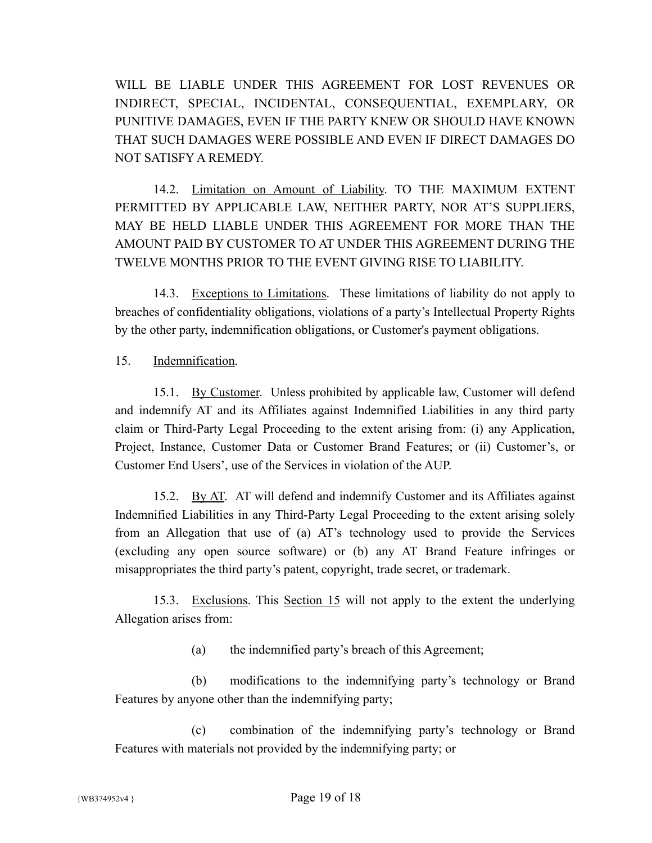WILL BE LIABLE UNDER THIS AGREEMENT FOR LOST REVENUES OR INDIRECT, SPECIAL, INCIDENTAL, CONSEQUENTIAL, EXEMPLARY, OR PUNITIVE DAMAGES, EVEN IF THE PARTY KNEW OR SHOULD HAVE KNOWN THAT SUCH DAMAGES WERE POSSIBLE AND EVEN IF DIRECT DAMAGES DO NOT SATISFY A REMEDY.

14.2. Limitation on Amount of Liability. TO THE MAXIMUM EXTENT PERMITTED BY APPLICABLE LAW, NEITHER PARTY, NOR AT'S SUPPLIERS, MAY BE HELD LIABLE UNDER THIS AGREEMENT FOR MORE THAN THE AMOUNT PAID BY CUSTOMER TO AT UNDER THIS AGREEMENT DURING THE TWELVE MONTHS PRIOR TO THE EVENT GIVING RISE TO LIABILITY.

14.3. Exceptions to Limitations. These limitations of liability do not apply to breaches of confidentiality obligations, violations of a party's Intellectual Property Rights by the other party, indemnification obligations, or Customer's payment obligations.

15. Indemnification.

15.1. By Customer. Unless prohibited by applicable law, Customer will defend and indemnify AT and its Affiliates against Indemnified Liabilities in any third party claim or Third-Party Legal Proceeding to the extent arising from: (i) any Application, Project, Instance, Customer Data or Customer Brand Features; or (ii) Customer's, or Customer End Users', use of the Services in violation of the AUP.

15.2. By AT. AT will defend and indemnify Customer and its Affiliates against Indemnified Liabilities in any Third-Party Legal Proceeding to the extent arising solely from an Allegation that use of (a) AT's technology used to provide the Services (excluding any open source software) or (b) any AT Brand Feature infringes or misappropriates the third party's patent, copyright, trade secret, or trademark.

15.3. Exclusions. This Section 15 will not apply to the extent the underlying Allegation arises from:

(a) the indemnified party's breach of this Agreement;

(b) modifications to the indemnifying party's technology or Brand Features by anyone other than the indemnifying party;

(c) combination of the indemnifying party's technology or Brand Features with materials not provided by the indemnifying party; or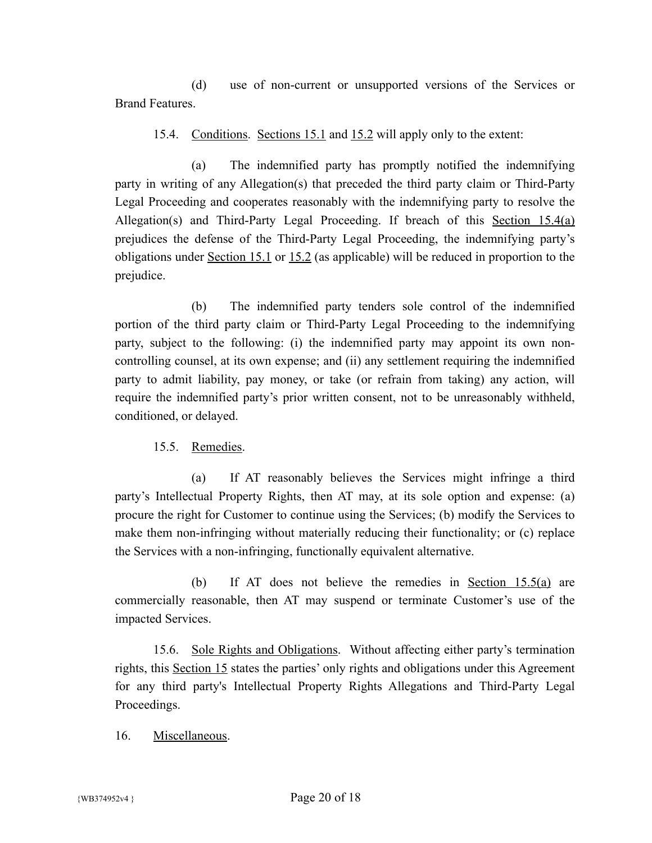(d) use of non-current or unsupported versions of the Services or Brand Features.

15.4. Conditions. Sections 15.1 and 15.2 will apply only to the extent:

(a) The indemnified party has promptly notified the indemnifying party in writing of any Allegation(s) that preceded the third party claim or Third-Party Legal Proceeding and cooperates reasonably with the indemnifying party to resolve the Allegation(s) and Third-Party Legal Proceeding. If breach of this Section 15.4(a) prejudices the defense of the Third-Party Legal Proceeding, the indemnifying party's obligations under Section 15.1 or 15.2 (as applicable) will be reduced in proportion to the prejudice.

(b) The indemnified party tenders sole control of the indemnified portion of the third party claim or Third-Party Legal Proceeding to the indemnifying party, subject to the following: (i) the indemnified party may appoint its own noncontrolling counsel, at its own expense; and (ii) any settlement requiring the indemnified party to admit liability, pay money, or take (or refrain from taking) any action, will require the indemnified party's prior written consent, not to be unreasonably withheld, conditioned, or delayed.

15.5. Remedies.

(a) If AT reasonably believes the Services might infringe a third party's Intellectual Property Rights, then AT may, at its sole option and expense: (a) procure the right for Customer to continue using the Services; (b) modify the Services to make them non-infringing without materially reducing their functionality; or (c) replace the Services with a non-infringing, functionally equivalent alternative.

(b) If AT does not believe the remedies in Section 15.5(a) are commercially reasonable, then AT may suspend or terminate Customer's use of the impacted Services.

15.6. Sole Rights and Obligations. Without affecting either party's termination rights, this Section 15 states the parties' only rights and obligations under this Agreement for any third party's Intellectual Property Rights Allegations and Third-Party Legal Proceedings.

16. Miscellaneous.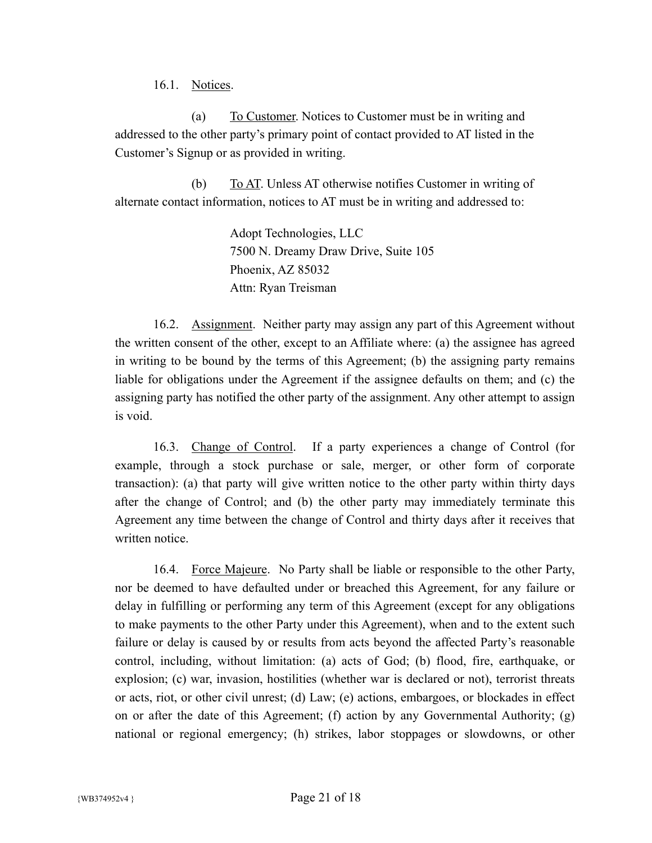16.1. Notices.

(a) To Customer. Notices to Customer must be in writing and addressed to the other party's primary point of contact provided to AT listed in the Customer's Signup or as provided in writing.

(b) To AT. Unless AT otherwise notifies Customer in writing of alternate contact information, notices to AT must be in writing and addressed to:

> Adopt Technologies, LLC 7500 N. Dreamy Draw Drive, Suite 105 Phoenix, AZ 85032 Attn: Ryan Treisman

16.2. Assignment. Neither party may assign any part of this Agreement without the written consent of the other, except to an Affiliate where: (a) the assignee has agreed in writing to be bound by the terms of this Agreement; (b) the assigning party remains liable for obligations under the Agreement if the assignee defaults on them; and (c) the assigning party has notified the other party of the assignment. Any other attempt to assign is void.

16.3. Change of Control. If a party experiences a change of Control (for example, through a stock purchase or sale, merger, or other form of corporate transaction): (a) that party will give written notice to the other party within thirty days after the change of Control; and (b) the other party may immediately terminate this Agreement any time between the change of Control and thirty days after it receives that written notice.

16.4. Force Majeure. No Party shall be liable or responsible to the other Party, nor be deemed to have defaulted under or breached this Agreement, for any failure or delay in fulfilling or performing any term of this Agreement (except for any obligations to make payments to the other Party under this Agreement), when and to the extent such failure or delay is caused by or results from acts beyond the affected Party's reasonable control, including, without limitation: (a) acts of God; (b) flood, fire, earthquake, or explosion; (c) war, invasion, hostilities (whether war is declared or not), terrorist threats or acts, riot, or other civil unrest; (d) Law; (e) actions, embargoes, or blockades in effect on or after the date of this Agreement; (f) action by any Governmental Authority; (g) national or regional emergency; (h) strikes, labor stoppages or slowdowns, or other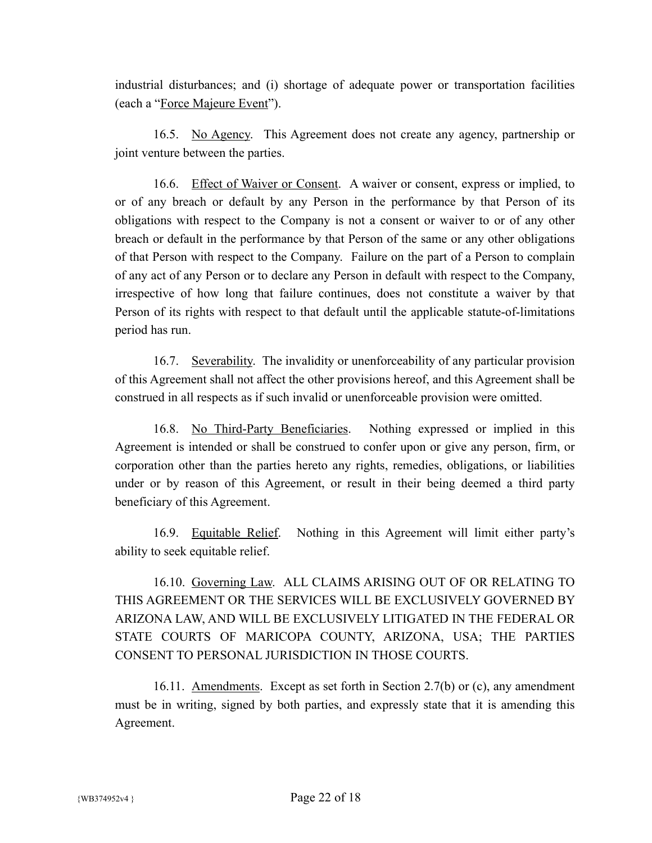industrial disturbances; and (i) shortage of adequate power or transportation facilities (each a "Force Majeure Event").

16.5. No Agency. This Agreement does not create any agency, partnership or joint venture between the parties.

16.6. Effect of Waiver or Consent. A waiver or consent, express or implied, to or of any breach or default by any Person in the performance by that Person of its obligations with respect to the Company is not a consent or waiver to or of any other breach or default in the performance by that Person of the same or any other obligations of that Person with respect to the Company. Failure on the part of a Person to complain of any act of any Person or to declare any Person in default with respect to the Company, irrespective of how long that failure continues, does not constitute a waiver by that Person of its rights with respect to that default until the applicable statute-of-limitations period has run.

16.7. Severability. The invalidity or unenforceability of any particular provision of this Agreement shall not affect the other provisions hereof, and this Agreement shall be construed in all respects as if such invalid or unenforceable provision were omitted.

16.8. No Third-Party Beneficiaries. Nothing expressed or implied in this Agreement is intended or shall be construed to confer upon or give any person, firm, or corporation other than the parties hereto any rights, remedies, obligations, or liabilities under or by reason of this Agreement, or result in their being deemed a third party beneficiary of this Agreement.

16.9. Equitable Relief. Nothing in this Agreement will limit either party's ability to seek equitable relief.

16.10. Governing Law. ALL CLAIMS ARISING OUT OF OR RELATING TO THIS AGREEMENT OR THE SERVICES WILL BE EXCLUSIVELY GOVERNED BY ARIZONA LAW, AND WILL BE EXCLUSIVELY LITIGATED IN THE FEDERAL OR STATE COURTS OF MARICOPA COUNTY, ARIZONA, USA; THE PARTIES CONSENT TO PERSONAL JURISDICTION IN THOSE COURTS.

16.11. Amendments. Except as set forth in Section 2.7(b) or (c), any amendment must be in writing, signed by both parties, and expressly state that it is amending this Agreement.